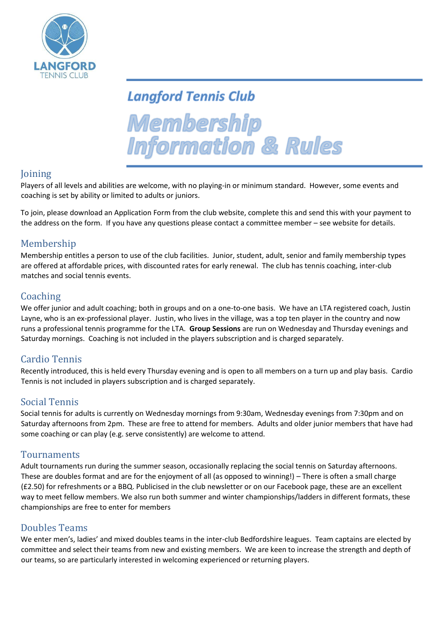

# **Langford Tennis Club**

Membership **Information & Rules** 

## Joining

Players of all levels and abilities are welcome, with no playing-in or minimum standard. However, some events and coaching is set by ability or limited to adults or juniors.

To join, please download an Application Form from the club website, complete this and send this with your payment to the address on the form. If you have any questions please contact a committee member – see website for details.

### Membership

Membership entitles a person to use of the club facilities. Junior, student, adult, senior and family membership types are offered at affordable prices, with discounted rates for early renewal. The club has tennis coaching, inter-club matches and social tennis events.

### Coaching

We offer junior and adult coaching; both in groups and on a one-to-one basis. We have an LTA registered coach, Justin Layne, who is an ex-professional player. Justin, who lives in the village, was a top ten player in the country and now runs a professional tennis programme for the LTA. **Group Sessions** are run on Wednesday and Thursday evenings and Saturday mornings. Coaching is not included in the players subscription and is charged separately.

### Cardio Tennis

Recently introduced, this is held every Thursday evening and is open to all members on a turn up and play basis. Cardio Tennis is not included in players subscription and is charged separately.

### Social Tennis

Social tennis for adults is currently on Wednesday mornings from 9:30am, Wednesday evenings from 7:30pm and on Saturday afternoons from 2pm. These are free to attend for members. Adults and older junior members that have had some coaching or can play (e.g. serve consistently) are welcome to attend.

### Tournaments

Adult tournaments run during the summer season, occasionally replacing the social tennis on Saturday afternoons. These are doubles format and are for the enjoyment of all (as opposed to winning!) – There is often a small charge (£2.50) for refreshments or a BBQ. Publicised in the club newsletter or on our Facebook page, these are an excellent way to meet fellow members. We also run both summer and winter championships/ladders in different formats, these championships are free to enter for members

### Doubles Teams

We enter men's, ladies' and mixed doubles teams in the inter-club Bedfordshire leagues. Team captains are elected by committee and select their teams from new and existing members. We are keen to increase the strength and depth of our teams, so are particularly interested in welcoming experienced or returning players.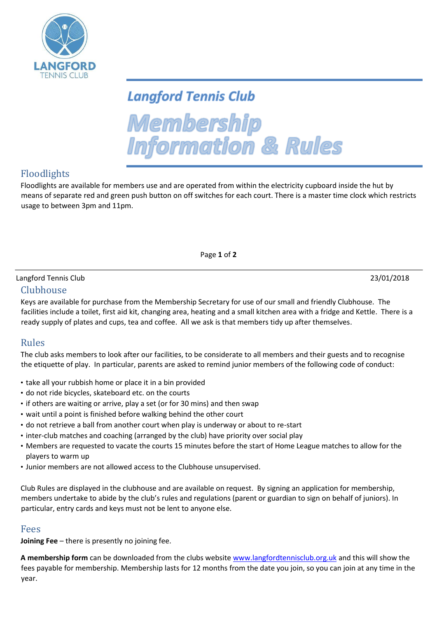

# **Langford Tennis Club**

Membership **Information & Rules** 

# Floodlights

Floodlights are available for members use and are operated from within the electricity cupboard inside the hut by means of separate red and green push button on off switches for each court. There is a master time clock which restricts usage to between 3pm and 11pm.

Page **1** of **2**

# Langford Tennis Club 23/01/2018

#### Clubhouse

Keys are available for purchase from the Membership Secretary for use of our small and friendly Clubhouse. The facilities include a toilet, first aid kit, changing area, heating and a small kitchen area with a fridge and Kettle. There is a ready supply of plates and cups, tea and coffee. All we ask is that members tidy up after themselves.

### Rules

The club asks members to look after our facilities, to be considerate to all members and their guests and to recognise the etiquette of play. In particular, parents are asked to remind junior members of the following code of conduct:

- take all your rubbish home or place it in a bin provided
- do not ride bicycles, skateboard etc. on the courts
- if others are waiting or arrive, play a set (or for 30 mins) and then swap
- wait until a point is finished before walking behind the other court
- do not retrieve a ball from another court when play is underway or about to re-start
- inter-club matches and coaching (arranged by the club) have priority over social play
- Members are requested to vacate the courts 15 minutes before the start of Home League matches to allow for the players to warm up
- Junior members are not allowed access to the Clubhouse unsupervised.

Club Rules are displayed in the clubhouse and are available on request. By signing an application for membership, members undertake to abide by the club's rules and regulations (parent or guardian to sign on behalf of juniors). In particular, entry cards and keys must not be lent to anyone else.

### Fees

**Joining Fee** – there is presently no joining fee.

**A membership form** can be downloaded from the clubs website [www.langfordtennisclub.org.uk](http://www.langfordtennisclub.org.uk/) [an](http://www.langfordtennisclub.org.uk/)d this will show the fees payable for membership. Membership lasts for 12 months from the date you join, so you can join at any time in the year.